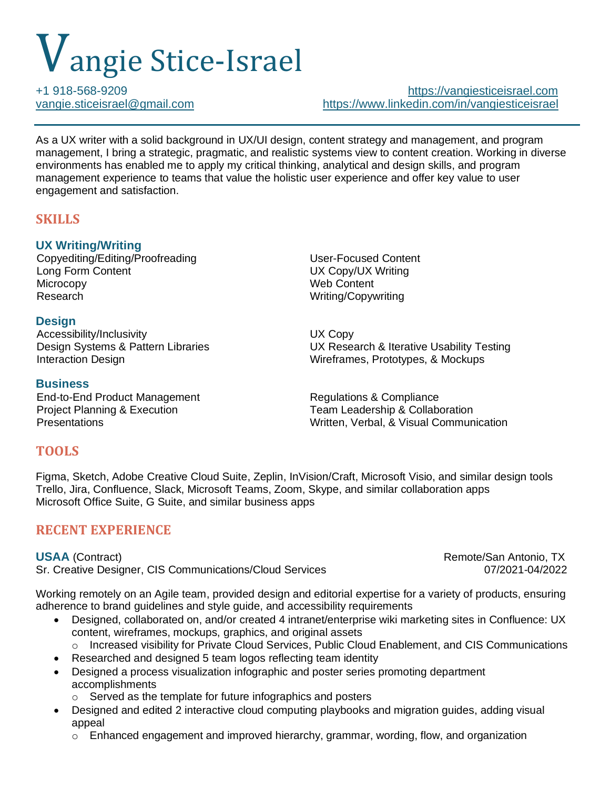# Vangie Stice-Israel

+1 918-568-9209 [https://vangiesticeisrael.com](https://vangiesticeisrael.com/) [vangie.sticeisrael@gmail.com](mailto:vangie.sticeisrael@gmail.com) <https://www.linkedin.com/in/vangiesticeisrael>

As a UX writer with a solid background in UX/UI design, content strategy and management, and program management, I bring a strategic, pragmatic, and realistic systems view to content creation. Working in diverse environments has enabled me to apply my critical thinking, analytical and design skills, and program management experience to teams that value the holistic user experience and offer key value to user engagement and satisfaction.

# **SKILLS**

## **UX Writing/Writing**

Copyediting/Editing/Proofreading User-Focused Content Long Form Content Content Content Content Content Content Content Content Content Content Content Content Content Content Content Content Content Content Content Content Content Content Content Content Content Content Cont Microcopy Web Content Research **Executes Research** Writing/Copywriting

### **Design**

Accessibility/Inclusivity **Example 2018** UX Copy

### **Business**

End-to-End Product Management Regulations & Compliance

Design Systems & Pattern Libraries UX Research & Iterative Usability Testing Interaction Design Wireframes, Prototypes, & Mockups

Project Planning & Execution **Team Leadership & Collaboration**<br>Presentations **Team Leadership & Collaboration** Written, Verbal, & Visual Communication

## **TOOLS**

Figma, Sketch, Adobe Creative Cloud Suite, Zeplin, InVision/Craft, Microsoft Visio, and similar design tools Trello, Jira, Confluence, Slack, Microsoft Teams, Zoom, Skype, and similar collaboration apps Microsoft Office Suite, G Suite, and similar business apps

# **RECENT EXPERIENCE**

Sr. Creative Designer, CIS Communications/Cloud Services 07/2021-04/2022

**USAA** (Contract) Remote/San Antonio, TX

Working remotely on an Agile team, provided design and editorial expertise for a variety of products, ensuring adherence to brand guidelines and style guide, and accessibility requirements

- Designed, collaborated on, and/or created 4 intranet/enterprise wiki marketing sites in Confluence: UX content, wireframes, mockups, graphics, and original assets
	- o Increased visibility for Private Cloud Services, Public Cloud Enablement, and CIS Communications
- Researched and designed 5 team logos reflecting team identity
- Designed a process visualization infographic and poster series promoting department accomplishments
	- o Served as the template for future infographics and posters
- Designed and edited 2 interactive cloud computing playbooks and migration guides, adding visual appeal
	- $\circ$  Enhanced engagement and improved hierarchy, grammar, wording, flow, and organization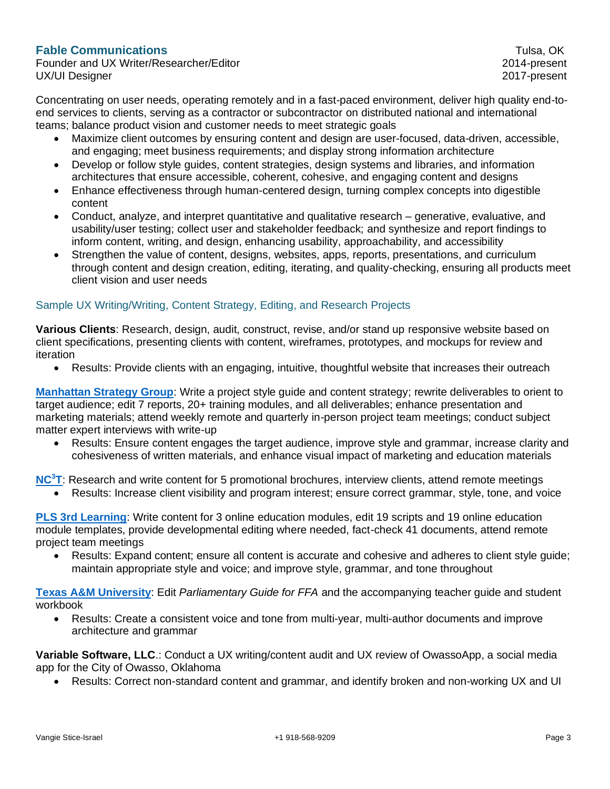#### **Fable Communications** Tulsa, OK

Founder and UX Writer/Researcher/Editor 2014-present UX/UI Designer 2017-present

Concentrating on user needs, operating remotely and in a fast-paced environment, deliver high quality end-toend services to clients, serving as a contractor or subcontractor on distributed national and international teams; balance product vision and customer needs to meet strategic goals

- Maximize client outcomes by ensuring content and design are user-focused, data-driven, accessible, and engaging; meet business requirements; and display strong information architecture
- Develop or follow style guides, content strategies, design systems and libraries, and information architectures that ensure accessible, coherent, cohesive, and engaging content and designs
- Enhance effectiveness through human-centered design, turning complex concepts into digestible content
- Conduct, analyze, and interpret quantitative and qualitative research generative, evaluative, and usability/user testing; collect user and stakeholder feedback; and synthesize and report findings to inform content, writing, and design, enhancing usability, approachability, and accessibility
- Strengthen the value of content, designs, websites, apps, reports, presentations, and curriculum through content and design creation, editing, iterating, and quality-checking, ensuring all products meet client vision and user needs

#### Sample UX Writing/Writing, Content Strategy, Editing, and Research Projects

**Various Clients**: Research, design, audit, construct, revise, and/or stand up responsive website based on client specifications, presenting clients with content, wireframes, prototypes, and mockups for review and iteration

• Results: Provide clients with an engaging, intuitive, thoughtful website that increases their outreach

**[Manhattan Strategy Group](http://www.manhattanstrategy.com/)**: Write a project style guide and content strategy; rewrite deliverables to orient to target audience; edit 7 reports, 20+ training modules, and all deliverables; enhance presentation and marketing materials; attend weekly remote and quarterly in-person project team meetings; conduct subject matter expert interviews with write-up

• Results: Ensure content engages the target audience, improve style and grammar, increase clarity and cohesiveness of written materials, and enhance visual impact of marketing and education materials

**[NC](https://nc3t.com/)<sup>3</sup>T**: Research and write content for 5 promotional brochures, interview clients, attend remote meetings

• Results: Increase client visibility and program interest; ensure correct grammar, style, tone, and voice

**PLS 3rd [Learning](https://pls3rdlearning.com/)**: Write content for 3 online education modules, edit 19 scripts and 19 online education module templates, provide developmental editing where needed, fact-check 41 documents, attend remote project team meetings

• Results: Expand content; ensure all content is accurate and cohesive and adheres to client style guide; maintain appropriate style and voice; and improve style, grammar, and tone throughout

**[Texas A&M University](https://www.tamu.edu/)**: Edit *Parliamentary Guide for FFA* and the accompanying teacher guide and student workbook

• Results: Create a consistent voice and tone from multi-year, multi-author documents and improve architecture and grammar

**Variable Software, LLC**.: Conduct a UX writing/content audit and UX review of OwassoApp, a social media app for the City of Owasso, Oklahoma

• Results: Correct non-standard content and grammar, and identify broken and non-working UX and UI